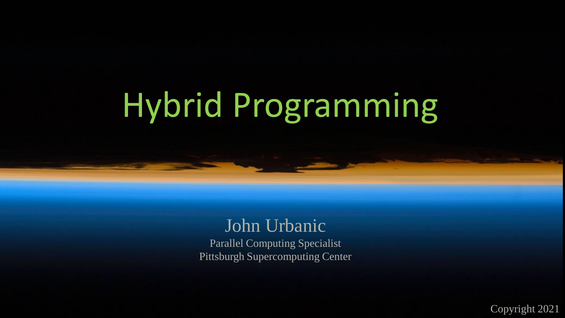# Hybrid Programming

### John Urbanic Parallel Computing Specialist Pittsburgh Supercomputing Center

Copyright 2021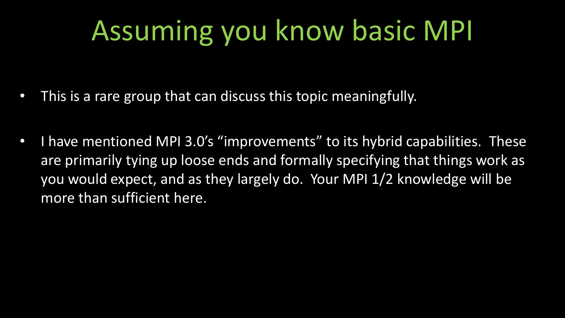# Assuming you know basic MPI

- This is a rare group that can discuss this topic meaningfully.
- I have mentioned MPI 3.0's "improvements" to its hybrid capabilities. These are primarily tying up loose ends and formally specifying that things work as you would expect, and as they largely do. Your MPI 1/2 knowledge will be more than sufficient here.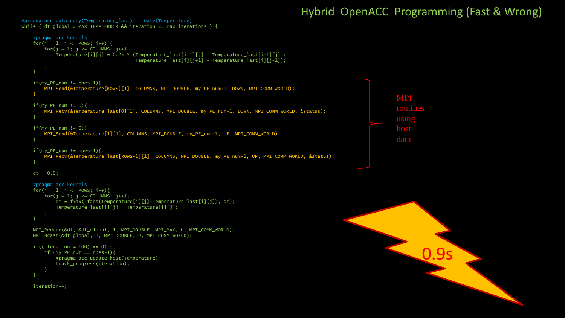#### Hybrid OpenACC Programming (Fast & Wrong)

```
while ( dt_g]obal > MAX_TEMP_ERROR && iteration <= max_iterations ) {
   #pragma acc kernels 
   for(i = 1; i \le ROWS; i++) {
        for(j = 1; j \leq COLUMNS; j++) {
           Temperature[i][j] = 0.25 * (Temperature_last[i+1][j] + Temperature_last[i-1][j] +
                                        Temperature_last[i][j+1] + Temperature_last[i][j-1]);
        }
   if(my_PE_name != npes-1)MPI_Send(&Temperature[ROWS][1], COLUMNS, MPI_DOUBLE, my_PE_num+1, DOWN, MPI_COMM_WORLD);
    }
   if(my_PE_name != 0)MPI_Recv(&Temperature_last[0][1], COLUMNS, MPI_DOUBLE, my_PE_num-1, DOWN, MPI_COMM_WORLD, &status);
   if(my_PE_name != 0)MPI_Send(&Temperature[1][1], COLUMNS, MPI_DOUBLE, my_PE_num-1, UP, MPI_COMM_WORLD);
   if(my_PE_name != npes-1)MPI_Recv(&Temperature_last[ROWS+1][1], COLUMNS, MPI_DOUBLE, my_PE_num+1, UP, MPI_COMM_WORLD, &status);
   dt = 0.0:
   #pragma acc kernels 
   for(i = 1; i \le ROWS; i++){
        for(j = 1; j \leq COLUMNS; j++){
            dt = fmax( fabs(Temperature[i][j]-Temperature_last[i][j]), dt);
           Temperature\_last[i][j] = Temperature[i][j];}
   MPI_Reduce(&dt, &dt_global, 1, MPI_DOUBLE, MPI_MAX, 0, MPI_COMM_WORLD);
   MPI_Bcast(&dt_global, 1, MPI_DOUBLE, 0, MPI_COMM_WORLD);
   if((iteration % 100) == 0) {
       if (my_PE_name == npes-1)#pragma acc update host(Temperature) 
            track_progress(iteration);
        }
    iteration++;
```
#pragma acc data copy(Temperature\_last), create(Temperature)

}



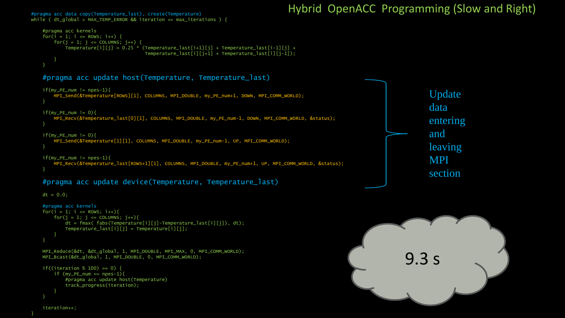#### while (  $dt_g$ lobal > MAX\_TEMP\_ERROR && iteration <= max\_iterations ) { #pragma acc kernels for( $i = 1$ ;  $i \le ROWS$ ;  $i++)$  { for( $i = 1$ ;  $i \leq$  COLUMNS;  $i++)$  { Temperature[i][j] =  $0.25$  \* (Temperature\_last[i+1][j] + Temperature\_last[i-1][j] + Temperature\_last[i][j+1] + Temperature\_last[i][j-1]); } } #pragma acc update host(Temperature, Temperature\_last)  $if(my_PE_name != npes-1)$ MPI\_Send(&Temperature[ROWS][1], COLUMNS, MPI\_DOUBLE, my\_PE\_num+1, DOWN, MPI\_COMM\_WORLD); }  $if(my_PE_name != 0)$ MPI\_Recv(&Temperature\_last[0][1], COLUMNS, MPI\_DOUBLE, my\_PE\_num-1, DOWN, MPI\_COMM\_WORLD, &status); }  $if(my_PE_name != 0)$ MPI\_Send(&Temperature[1][1], COLUMNS, MPI\_DOUBLE, my\_PE\_num-1, UP, MPI\_COMM\_WORLD); }  $if(my_PE_name != npes-1)$ MPI\_Recv(&Temperature\_last[ROWS+1][1], COLUMNS, MPI\_DOUBLE, my\_PE\_num+1, UP, MPI\_COMM\_WORLD, &status); } #pragma acc update device(Temperature, Temperature\_last)  $dt = 0.0$ ; #pragma acc kernels  $for(i = 1; i \le ROWS; i++)$ for( $j = 1$ ;  $j \le 1$  COLUMNS;  $j++)$ { dt = fmax( fabs(Temperature[i][j]-Temperature\_last[i][j]), dt); Temperature\_last[i][j] = Temperature[i][j];

```
}
}
```
MPI\_Reduce(&dt, &dt\_global, 1, MPI\_DOUBLE, MPI\_MAX, 0, MPI\_COMM\_WORLD); MPI\_Bcast(&dt\_global, 1, MPI\_DOUBLE, 0, MPI\_COMM\_WORLD);

```
if((iteration % 100) == 0) {
    if (my_PE_num == npes-1){
        #pragma acc update host(Temperature) 
        track_progress(iteration);
    }
}
```
### Hybrid OpenACC Programming (Slow and Right) #pragma acc data copy(Temperature\_last), create(Temperature)

Update data entering and leaving MPI section



}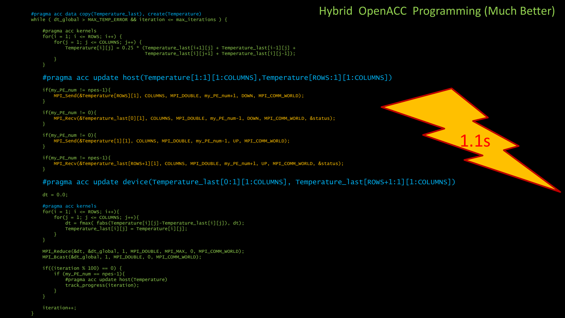#### while (  $dt_g$ ]obal > MAX\_TEMP\_ERROR && iteration <= max\_iterations ) {

### #pragma acc data copy(Temperature\_last), create(Temperature) Hybrid OpenACC Programming (Much Better)

1.1s

```
#pragma acc kernels 
for(i = 1; i \le ROWS; i++) {
    for(j = 1; j \leq CCOLUMNS; j++) {
        Temperature[i][j] = 0.25 * (Temperature_last[i+1][j] + Temperature_last[i-1][j] +
                                     Temperature_last[i][j+1] + Temperature_last[i][j-1]);
    }
}
```
#pragma acc update host(Temperature[1:1][1:COLUMNS],Temperature[ROWS:1][1:COLUMNS])

```
if(my_PE_name != npes-1)MPI_Send(&Temperature[ROWS][1], COLUMNS, MPI_DOUBLE, my_PE_num+1, DOWN, MPI_COMM_WORLD);
}
if(my_PE_name != 0)MPI_Recv(&Temperature_last[0][1], COLUMNS, MPI_DOUBLE, my_PE_num-1, DOWN, MPI_COMM_WORLD, &status);
}
```

```
if(my_PE_name != 0)MPI_Send(&Temperature[1][1], COLUMNS, MPI_DOUBLE, my_PE_num-1, UP, MPI_COMM_WORLD);
```

```
if(my_PE_name != npes-1)
```
MPI\_Recv(&Temperature\_last[ROWS+1][1], COLUMNS, MPI\_DOUBLE, my\_PE\_num+1, UP, MPI\_COMM\_WORLD, &status);

#### #pragma acc update device(Temperature\_last[0:1][1:COLUMNS], Temperature\_last[ROWS+1:1][1:COLUMNS])

 $dt = 0.0$ ;

}

}

```
#pragma acc kernels 
for(i = 1; i \le ROWS; i++)for(j = 1; j <= COLUMNS; j++)dt = fmax( fabs(Temperature[i][j]-Temperature_last[i][j]), dt);
       Temperature_last[i][j] = Temperature[i][j];
    }
}
MPI_Reduce(&dt, &dt_global, 1, MPI_DOUBLE, MPI_MAX, 0, MPI_COMM_WORLD);
MPI_Bcast(&dt_global, 1, MPI_DOUBLE, 0, MPI_COMM_WORLD);
if((iteration % 100) == 0) {
    if (my_PE_num == npes-1){
        #pragma acc update host(Temperature) 
        track_progress(iteration);
    }
```

```
iteration++;
```
}

}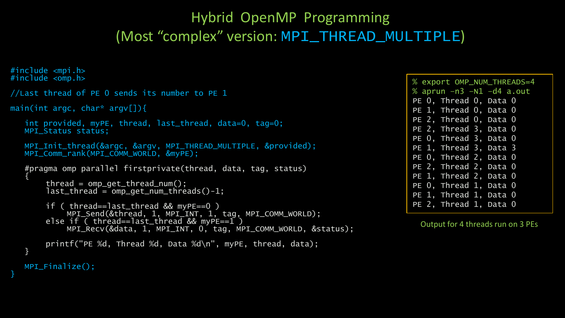## Hybrid OpenMP Programming (Most "complex" version: MPI\_THREAD\_MULTIPLE)

```
#include <mpi.h>
#inc]ude <comp.h//Last thread of PE 0 sends its number to PE 1
main(int argc, char* argv[]){
   int provided, myPE, thread, last_thread, data=0, tag=0;
  MPI_Status status;
   MPI_Init_thread(&argc, &argv, MPI_THREAD_MULTIPLE, &provided);
   MPI Comm_rank(MPI_COMM_WORLD, &myPE);
   #pragma omp parallel firstprivate(thread, data, tag, status)
   {
       thread = omp_get_thread_num();
       last_{th}read = omp_get_num_threads()-1;
       if ( thread==last thread && myPE==0 )
            MPI_Send(&thread, 1, MPI_INT, 1, tag, MPI_COMM_WORLD);
       else if ( thread==last_thread && myPE==1 )
            MPI_Recv(&data, 1, MPI_INT, 0, tag, MPI_COMM_WORLD, &status);
       printf("PE %d, Thread %d, Data %d\n", myPE, thread, data);
   }
  MPI_Finalize();
}
```
% export OMP\_NUM\_THREADS=4 % aprun –n3 –N1 –d4 a.out PE 0, Thread 0, Data 0 PE 1, Thread 0, Data 0 PE 2, Thread 0, Data 0 PE 2, Thread 3, Data 0 PE 0, Thread 3, Data 0 PE 1, Thread 3, Data 3 PE 0, Thread 2, Data 0 PE 2, Thread 2, Data 0 PE 1, Thread 2, Data 0 PE 0, Thread 1, Data 0 PE 1, Thread 1, Data 0 PE 2, Thread 1, Data 0

Output for 4 threads run on 3 PEs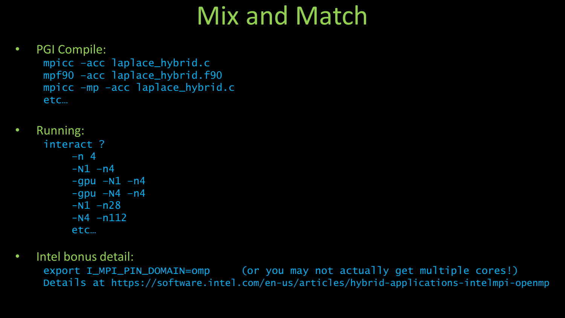# Mix and Match

### • PGI Compile: mpicc –acc laplace\_hybrid.c mpf90 –acc laplace\_hybrid.f90 mpicc –mp –acc laplace\_hybrid.c etc…

- Running:
	- interact ? –n 4  $-N1 - n4$  $-$ qpu  $-N1$   $-n4$  $-qpu$  –N4 –n4  $-N1 - n28$  $-N4 - n112$ etc…
- Intel bonus detail:

export I\_MPI\_PIN\_DOMAIN=omp (or you may not actually get multiple cores!) Details at https://software.intel.com/en-us/articles/hybrid-applications-intelmpi-openmp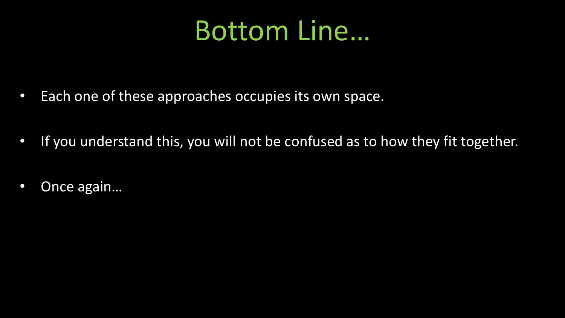# Bottom Line…

- Each one of these approaches occupies its own space.
- If you understand this, you will not be confused as to how they fit together.
- Once again...